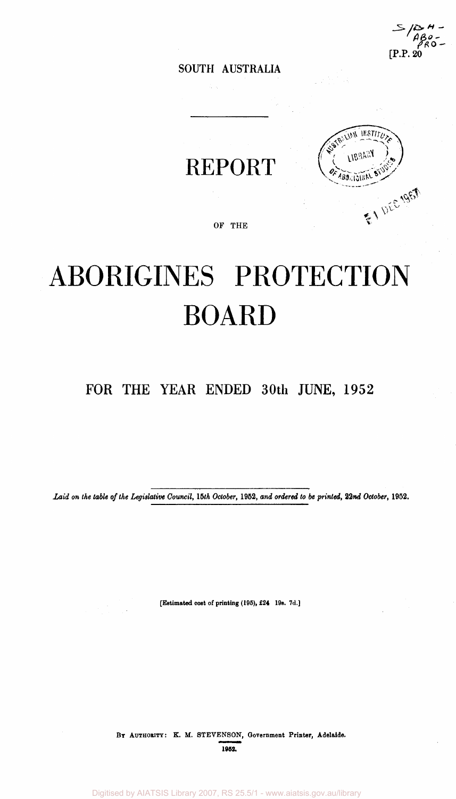**/ :**  *l(2\*H -* [P.P. 20

**SOUTH AUSTRALIA** 

REPORT



**OF THE** 

# ABORIGINES PROTECTION BOARD

### FOR THE YEAR ENDED 30th JUNE, 1952

*Laid on the table of the Legislative Council, 15th October,* **1952,** *and ordered to be printed, 22nd October,* **1952.** 

**[Estimated cost of printing (105), £24 10s. 7d. ]** 

**BY AUTHORITY: K. M. STEVENSON, Government Printer, Adelaide. 1952.**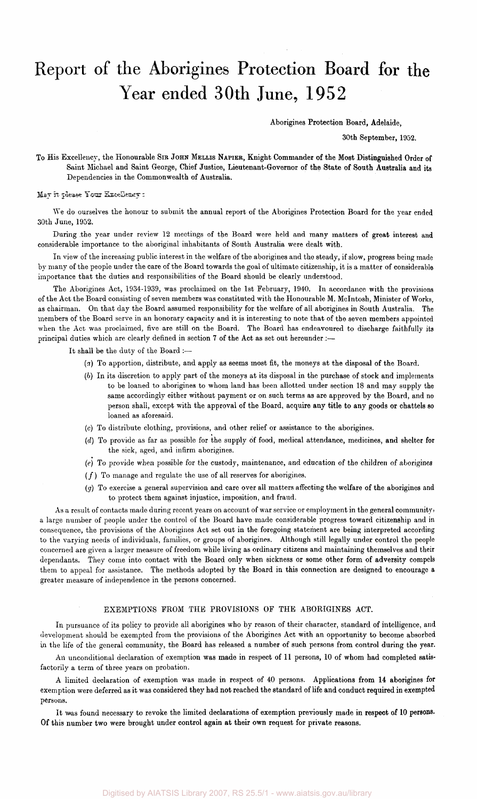## Report of the Aborigines Protection Board for the Year ended 30th June, 1952

Aborigines Protection Board, Adelaide,

30th September, 1952.

To His Excellency, the Honourable SIR JOHN MELLIS NAPIER, Knight Commander of the Most Distinguished Order of Saint Michael and Saint George, Chief Justice, Lieutenant-Governor of the State of South Australia and its Dependencies in the Commonwealth of Australia.

May it Please Your Excellency:

We do ourselves the honour to submit the annual report of the Aborigines Protection Board for the year ended 30th June, 1952.

During the year under review 12 meetings of the Board were held and many matters of great interest and considerable importance to the aboriginal inhabitants of South Australia were dealt with.

In view of the increasing public interest in the welfare of the aborigines and the steady, if slow, progress being made by many of the people under the care of the Board towards the goal of ultimate citizenship, it is a matter of considerable importance that the duties and responsibilities of the Board should be clearly understood.

The Aborigines Act, 1934-1939, was proclaimed on the 1st February, 1940. In accordance with the provisions of the Act the Board consisting of seven members was constituted with the Honourable M. Mcintosh, Minister of Works, as chairman. On that day the Board assumed responsibility for the welfare of all aborigines in South Australia. The members of the Board serve in an honorary capacity and it is interesting to note that of the seven members appointed when the Act was proclaimed, five are still on the Board. The Board has endeavoured to discharge faithfully its principal duties which are clearly defined in section 7 of the Act as set out hereunder :—

It shall be the duty of the Board :—

- *(a)* To apportion, distribute, and apply as seems most fit, the moneys at the disposal of the Board.
- *(b)* In its discretion to apply part of the moneys at its disposal in the purchase of stock and implements to be loaned to aborigines to whom land has been allotted under section 18 and may supply the same accordingly either without payment or on such terms as are approved by the Board, and no person shall, except with the approval of the Board, acquire any title to any goods or chattels so loaned as aforesaid.
- (c) To distribute clothing, provisions, and other relief or assistance to the aborigines.
- *(d)* To provide as far as possible for the supply of food, medical attendance, medicines, and shelter for the sick, aged, and infirm aborigines.
- (e) To provide when possible for the custody, maintenance, and education of the children of aborigines
- $(f)$  To manage and regulate the use of all reserves for aborigines.
- *(g)* To exercise a general supervision and care over all matters affecting the welfare of the aborigines and to protect them against injustice, imposition, and fraud.

As a result of contacts made during recent years on account of war service or employment in the general community, a large number of people under the control of the Board have made considerable progress toward citizenship and in consequence, the provisions of the Aborigines Act set out in the foregoing statement are being interpreted according to the varying needs of individuals, families, or groups of aborigines. Although still legally under control the people concerned are given a larger measure of freedom while living as ordinary citizens and maintaining themselves and their dependants. They come into contact with the Board only when sickness or some other form of adversity compels them to appeal for assistance. The methods adopted by the Board in this connection are designed to encourage a greater measure of independence in the persons concerned.

#### EXEMPTIONS FROM THE PROVISIONS OF THE ABORIGINES ACT.

In pursuance of its policy to provide all aborigines who by reason of their character, standard of intelligence, and development should be exempted from the provisions of the Aborigines Act with an opportunity to become absorbed in the life of the general community, the Board has released a number of such persons from control during the year.

An unconditional declaration of exemption was made in respect of 11 persons, 10 of whom had completed satisfactorily a term of three years on probation.

A limited declaration of exemption was made in respect of 40 persons. Applications from 14 aborigines for exemption were deferred as it was considered they had not reached the standard of life and conduct required in exempted persons.

It was found necessary to revoke the limited declarations of exemption previously made in respect of 10 persons. Of this number two were brought under control again at their own request for private reasons.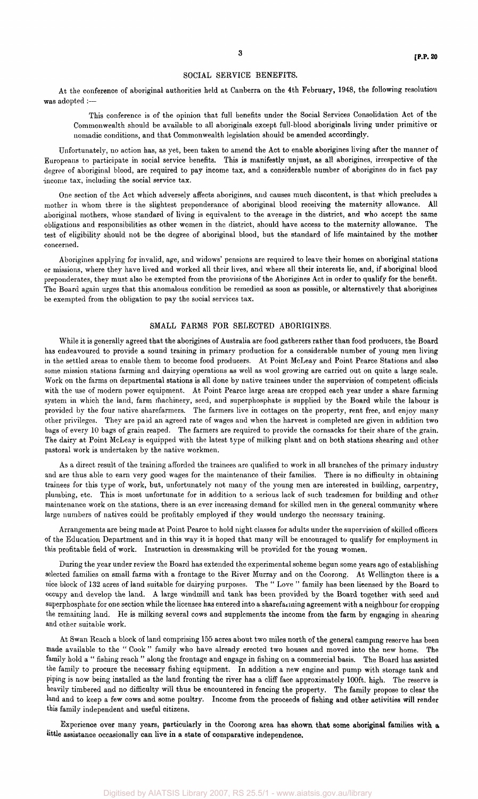#### SOCIAL SERVICE BENEFITS.

At the conference of aboriginal authorities held at Canberra on the 4th February, 1948, the following resolution was adopted :—

This conference is of the opinion that full benefits under the Social Services Consolidation Act of the Commonwealth should be available to all aboriginals except full-blood aboriginals living under primitive or nomadic conditions, and that Commonwealth legislation should be amended accordingly.

Unfortunately, no action has, as yet, been taken to amend the Act to enable aborigines living after the manner of Europeans to participate in social service benefits. This is manifestly unjust, as all aborigines, irrespective of the degree of aboriginal blood, are required to pay income tax, and a considerable number of aborigines do in fact pay income tax, including the social service tax.

One section of the Act which adversely affects aborigines, and causes much discontent, is that which precludes a mother in whom there is the slightest preponderance of aboriginal blood receiving the maternity allowance. All aboriginal mothers, whose standard of living is equivalent to the average in the district, and who accept the same obligations and responsibilities as other women in the district, should have access to the maternity allowance. The test of eligibility should not be the degree of aboriginal blood, but the standard of life maintained by the mother concerned.

Aborigines applying for invalid, age, and widows' pensions are required to leave their homes on aboriginal stations or missions, where they have lived and worked all their lives, and where all their interests lie, and, if aboriginal blood preponderates, they must also be exempted from the provisions of the Aborigines Act in order to qualify for the benefit. The Board again urges that this anomalous condition be remedied as soon as possible, or alternatively that aborigines be exempted from the obligation to pay the social services tax.

#### SMALL FARMS FOR SELECTED ABORIGINES.

While it is generally agreed that the aborigines of Australia are food gatherers rather than food producers, the Board has endeavoured to provide a sound training in primary production for a considerable number of young men living in the settled areas to enable them to become food producers. At Point McLeay and Point Pearce Stations and also some mission stations farming and dairying operations as well as wool growing are carried out on quite a large scale. Work on the farms on departmental stations is all done by native trainees under the supervision of competent officials with the use of modern power equipment. At Point Pearce large areas are cropped each year under a share farming system in which the land, farm machinery, seed, and superphosphate is supplied by the Board while the labour is provided by the four native sharefarmers. The farmers live in cottages on the property, rent free, and enjoy many other privileges. They are paid an agreed rate of wages and when the harvest is completed are given in addition two bags of every 10 bags of grain reaped. The farmers are required to provide the cornsacks for their share of the grain. The dairy at Point McLeay is equipped with the latest type of milking plant and on both stations shearing and other pastoral work is undertaken by the native workmen.

As a direct result of the training afforded the trainees are qualified to work in all branches of the primary industry and are thus able to earn very good wages for the maintenance of their families. There is no difficulty in obtaining trainees for this type of work, but, unfortunately not many of the young men are interested in building, carpentry, plumbing, etc. This is most unfortunate for in addition to a serious lack of such tradesmen for building and other maintenance work on the stations, there is an ever increasing demand for skilled men in the general community where large numbers of natives could be profitably employed if they would undergo the necessary training.

Arrangements are being made at Point Pearce to hold night classes for adults under the supervision of skilled officers of the Education Department and in this way it is hoped that many will be encouraged to qualify for employment in this profitable field of work. Instruction in dressmaking will be provided for the young women.

During the year under review the Board has extended the experimental scheme begun some years ago of establishing selected families on small farms with a frontage to the River Murray and on the Coorong. At Wellington there is a nice block of 132 acres of land suitable for dairying purposes. The "Love " family has been licensed by the Board to occupy and develop the land. A large windmill and tank has been provided by the Board together with seed and superphosphate for one section while the licensee has entered into a sharefarming agreement with a neighbour for cropping the remaining land. He is milking several cows and supplements the income from the farm by engaging in shearing and other suitable work.

At Swan Reach a block of land comprising 155 acres about two miles north of the general camping reserve has been made available to the "Cook" family who have already erected two houses and moved into the new home. The family hold a " fishing reach " along the frontage and engage in fishing on a commercial basis. The Board has assisted Family hold a " fishing reach " along the frontage and engage in fishing on a commercial basis. The Board has assisted the family to procure the necessary fishing equipment. In addition a new engine and pump with storage tank and piping is now being installed as the land fronting the river has a cliff face approximately 100ft. high. The reserve is heavily timbered and no difficulty will thus be encountered in fencing the property. The family propose to clear the land and to keep a few cows and some poultry. Income from the proceeds of fishing and other activities will render this family independent and useful citizens.

Experience over many years, particularly in the Coorong area has shown that some aboriginal families with a little assistance occasionally can live in a state of comparative independence.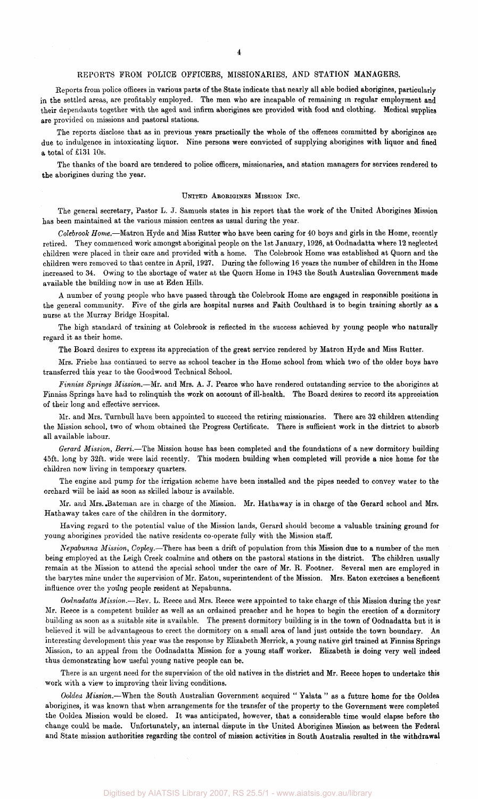#### **4**

#### REPORTS FROM POLICE OFFICERS, MISSIONARIES, AND STATION MANAGERS.

Reports from police officers in various parts of the State indicate that nearly all able bodied aborigines, particularly in the settled areas, are profitably employed. The men who are incapable of remaining in regular employment and their dependants together with the aged and infirm aborigines are provided with food and clothing. Medical supplies are provided on missions and pastoral stations.

The reports disclose that as in previous years practically the whole of the offences committed by aborigines are due to indulgence in intoxicating liquor. Nine persons were convicted of supplying aborigines with liquor and fined a total of £131 10s.

The thanks of the board are tendered to police officers, missionaries, and station managers for services rendered to the aborigines during the year.

#### UNITED ABORIGINES MISSION INC.

The general secretary, Pastor L. J. Samuels states in his report that the work of the United Aborigines Mission has been maintained at the various mission centres as usual during the year.

*Colebrook Home.*—Matron Hyde and Miss Rutter who have been caring for 40 boys and girls in the Home, recently retired. They commenced work amongst aboriginal people on the 1st January, 1926, at Oodnadatta where 12 neglected children were placed in their care and provided with a home. The Colebrook Home was established at Quorn and the children were removed to that centre in April, 1927. During the following 16 years the number of children in the Home increased to 34. Owing to the shortage of water at the Quorn Home in 1943 the South Australian Government made available the building now in use at Eden Hills.

A number of young people who have passed through the Colebrook Home are engaged in responsible positions in the general community. Five of the girls are hospital nurses and Faith Coulthard is to begin training shortly as a nurse at the Murray Bridge Hospital.

The high standard of training at Colebrook is reflected in the success achieved by young people who naturally regard it as their home.

The Board desires to express its appreciation of the great service rendered by Matron Hyde and Miss Rutter.

Mrs. Friebe has continued to serve as school teacher in the Home school from which two of the older boys have transferred this year to the Goodwood Technical School.

*Finniss Springs Mission.*—Mr. and Mrs. A. J. Pearce who have rendered outstanding service to the aborigines at Finniss Springs have had to relinquish the work on account of ill-health. The Board desires to record its appreciation of their long and effective services.

Mr. and Mrs. Turnbull have been appointed to succeed the retiring missionaries. There are 32 children attending the Mission school, two of whom obtained the Progress Certificate. There is sufficient work in the district to absorb all available labour.

*Gerard Mission, Berri.*—The Mission house has been completed and the foundations of a new dormitory building 45ft. long by 32ft. wide were laid recently. This modern building when completed will provide a nice home for the children now living in temporary quarters.

The engine and pump for the irrigation scheme have been installed and the pipes needed to convey water to the orchard will be laid as soon as skilled labour is available.

Mr. and Mrs. .Bateman are in charge of the Mission. Mr. Hatha way is in charge of the Gerard school and Mrs. Hathaway takes care of the children in the dormitory.

Having regard to the potential value of the Mission lands, Gerard should become a valuable training ground for young aborigines provided the native residents co-operate fully with the Mission staff.

*Nepabunna Mission, Copley.*—There has been a drift of population from this Mission due to a number of the men being employed at the Leigh Creek coalmine and others on the pastoral stations in the district. The children usually remain at the Mission to attend the special school under the care of Mr. R. Footner. Several men are employed in the barytes mine under the supervision of Mr. Eaton, superintendent of the Mission. Mrs. Eaton exercises a beneficent influence over the young people resident at Nepabunna.

*Oodnadatta Mission.*—Rev. L. Reece and Mrs. Reece were appointed to take charge of this Mission during the year Mr. Reece is a competent builder as well as an ordained preacher and he hopes to begin the erection of a dormitory building as soon as a suitable site is available. The present dormitory building is in the town of Oodnadatta but it is believed it will be advantageous to erect the dormitory on a small area of land just outside the town boundary. An interesting development this year was the response by Elizabeth Merrick, a young native girl trained at Finniss Springs Mission, to an appeal from the Oodnadatta Mission for a young staff worker. Elizabeth is doing very well indeed thus demonstrating how useful young native people can be.

There is an urgent need for the supervision of the old natives in the district and Mr. Reece hopes to undertake this work with a view to improving their living conditions.

*Ooldea Mission.*—When the South Australian Government acquired " Yalata " as a future home for the Ooldea aborigines, it was known that when arrangements for the transfer of the property to the Government were completed the Ooldea Mission would be closed. It was anticipated, however, that a considerable time would elapse before the change could be made. Unfortunately, an internal dispute in the United Aborigines Mission as between the Federal and State mission authorities regarding the control of mission activities in South Australia resulted in the withdrawal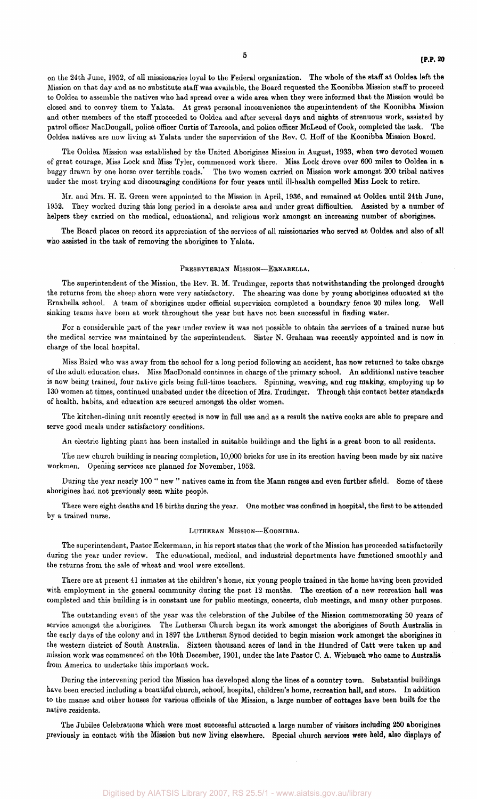on the 24th June, 1952, of all missionaries loyal to the Federal organization. The whole of the staff at Ooldea left the Mission on that day and as no substitute staff was available, the Board requested the Koonibba Mission staff to proceed to Ooldea to assemble the natives who had spread over a wide area when they were informed that the Mission would be closed and to convey them to Yalata. At great personal inconvenience the superintendent of the Koonibba Mission and other members of the staff proceeded to Ooldea and after several days and nights of strenuous work, assisted by patrol officer MacDougall, police officer Curtis of Tarcoola, and police officer McLeod of Cook, completed the task. The Ooldea natives are now living at Yalata under the supervision of the Rev. C. Hoff of the Koonibba Mission Board.

The Ooldea Mission was established by the United Aborigines Mission in August, 1933, when two devoted women of great courage, Miss Lock and Miss Tyler, commenced work there. Miss Lock drove over 600 miles to Ooldea in a buggy drawn by one horse over terrible, roads." The two women carried on Mission work amongst 200 tribal natives under the most trying and discouraging conditions for four years until ill-health compelled Miss Lock to retire.

Mr. and Mrs. H. E. Green were appointed to the Mission in April, 1936, and remained at Ooldea until 24th June, 1952. They worked during this long period in a desolate area and under great difficulties. Assisted by a number of helpers they carried on the medical, educational, and religious work amongst an increasing number of aborigines.

The Board places on record its appreciation of the services of all missionaries who served at Ooldea and also of all who assisted in the task of removing the aborigines to Yalata.

#### PRESBYTERIAN MISSION—ERNABELLA.

The superintendent of the Mission, the Rev. R. M. Trudinger, reports that notwithstanding the prolonged drought the returns from the sheep shorn were very satisfactory. The shearing was done by young aborigines educated at the Ernabella school. A team of aborigines under official supervision completed a boundary fence 20 miles long. Well sinking teams have been at work throughout the year but have not been successful in finding water.

For a considerable part of the year under review it was not possible to obtain the services of a trained nurse but the medical service was maintained by the superintendent. Sister N. Graham was recently appointed and is now in charge of the local hospital.

Miss Baird who was away from the school for a long period following an accident, has now returned to take charge of the adult education class. Miss MacDonald continues in charge of the primary school. An additional native teacher is now being trained, four native girls being full-time teachers. Spinning, weaving, and rug making, employing up to 130 women at times, continued unabated under the direction of Mrs. Trudinger. Through this contact better standards of health, habits, and education are secured amongst the older women.

The kitchen-dining unit recently erected is now in full use and as a result the native cooks are able to prepare and serve good meals under satisfactory conditions.

An electric lighting plant has been installed in suitable buildings and the light is a great boon to all residents.

The new church building is nearing completion, 10,000 bricks for use in its erection having been made by six native workmen. Opening services are planned for November, 1952.

During the year nearly 100 " new " natives came in from the Mann ranges and even further afield. Some of these aborigines had not previously seen white people.

There were eight deaths and 16 births during the year. One mother was confined in hospital, the first to be attended by a trained nurse.

#### LUTHERAN MISSION--- KOONIBBA.

The superintendent, Pastor Eckermann, in his report states that the work of the Mission has proceeded satisfactorily during the year under review. The educational, medical, and industrial departments have functioned smoothly and the returns from the sale of wheat and wool were excellent.

There are at present 41 inmates at the children's home, six young people trained in the home having been provided with employment in the general community during the past 12 months. The erection of a new recreation hall was completed and this building is in constant use for public meetings, concerts, club meetings, and many other purposes.

The outstanding event of the year was the celebration of the Jubilee of the Mission commemorating 50 years of service amongst the aborigines. The Lutheran Church began its work amongst the aborigines of South Australia in the early days of the colony and in 1897 the Lutheran Synod decided to begin mission work amongst the aborigines in the western district of South Australia. Sixteen thousand acres of land in the Hundred of Catt were taken up and mission work was commenced on the 10th December, 1901, under the late Pastor C. A. Wiebusch who came to Australia from America to undertake this important work.

During the intervening period the Mission has developed along the lines of a country town. Substantial buildings have been erected including a beautiful church, school, hospital, children's home, recreation hall, and store. In addition to the manse and other houses for various officials of the Mission, a large number of cottages have been built for the native residents.

The Jubilee Celebrations which were most successful attracted a large number of visitors including 250 aborigines previously in contact with the Mission but now living elsewhere. Special church services were held, also displays of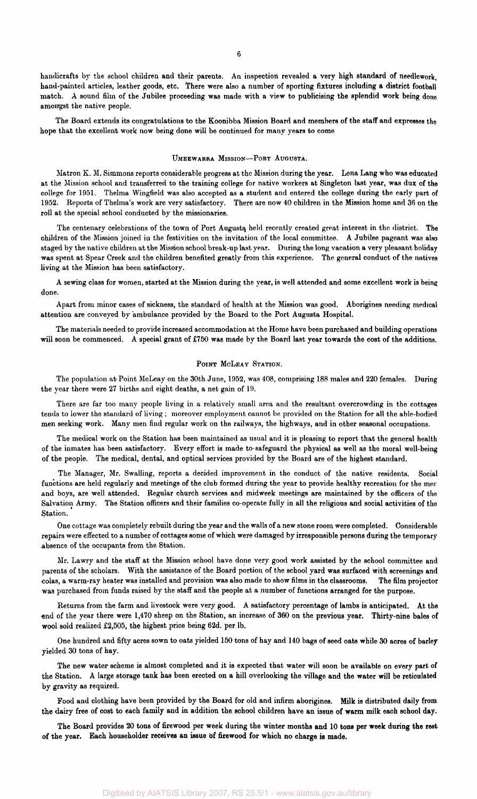handicrafts by the school children and their parents. An inspection revealed a very high standard of needlework, hand-painted articles, leather goods, etc. There were also a number of sporting fixtures including a district football match. A sound film of the Jubilee proceeding was made with a view to publicising the splendid work being done amongst the native people.

The Board extends its congratulations to the Koonibba Mission Board and members of the staff and expresses the hope that the excellent work now being done will be continued for many years to come

#### UMEEWARRA MISSION—PORT AUGUSTA.

Matron K. M. Simmons reports considerable progress at the Mission during the year. Lena Lang who was educated at the Mission school and transferred to the training college for native workers at Singleton last year, was dux of the college for 1951. Thelma Wingfield was also accepted as a student and entered the college during the early part of 1952. Reports of Thelma's work are very satisfactory. There are now 40 children in the Mission home and 36 on the roll at the special school conducted by the missionaries.

The centenary celebrations of the town of Port Augusta, held recently created great interest in the district. The children of the Mission joined in the festivities on the invitation of the local committee. A Jubilee pageant was also staged by the native children at the Mission school break-up last year. During the long vacation a very pleasant holiday was spent at Spear Creek and the children benefited greatly from this experience. The general conduct of the natives living at the Mission has been satisfactory.

A sewing class for women, started at the Mission during the year, is well attended and some excellent work is being done.

Apart from minor cases of sickness, the standard of health at the Mission was good. Aborigines needing medical attention are conveyed by ambulance provided by the Board to the Port Augusta Hospital.

The materials needed to provide increased accommodation at the Home have been purchased and building operations will soon be commenced. A special grant of £750 was made by the Board last year towards the cost of the additions.

#### POINT MCLEAY STATION.

The population at Point McLeay on the 30th June, 1952, was 408, comprising 188 males and 220 females. During the year there were 27 births and eight deaths, a net gain of 19.

There are far too many people living in a relatively small area and the resultant overcrowding in the cottages tends to lower the standard of living ; moreover employment cannot be provided on the Station for all the able-bodied men seeking work. Many men find regular work on the railways, the highways, and in other seasonal occupations.

The medical work on the Station has been maintained as usual and it is pleasing to report that the general health of the inmates has been satisfactory. Every effort is made to-safeguard the physical as well as the moral well-being of the people. The medical, dental, and optical services provided by the Board are of the highest standard.

The Manager, Mr. Swalling, reports a decided improvement in the conduct of the native residents. Social functions are held regularly and meetings of the club formed during the year to provide healthy recreation for the men and boys, are well attended. Regular church services and midweek meetings are maintained by the officers of the Salvation Army. The Station officers and their families co-operate fully in all the religious and social activities of the Station.

One cottage was completely rebuilt during the year and the walls of a new stone room were completed. Considerable repairs were effected to a number of cottages some of which were damaged by irresponsible persons during the temporary absence of the occupants from the Station.

Mr. Lawry and the staff at the Mission school have done very good work assisted by the school committee and parents of the scholars. With the assistance of the Board portion of the school yard was surfaced with screenings and colas, a warm-ray heater was installed and provision was also made to show films in the classrooms. The film projector was purchased from funds raised by the staff and the people at a number of functions arranged for the purpose.

Returns from the farm and livestock were very good. A satisfactory percentage of lambs is anticipated. At the end of the year there were 1,470 sheep on the Station, an increase of 360 on the previous year. Thirty-nine bales of wool sold realized £2,505, the highest price being 62d. per lb.

One hundred and fifty acres sown to oats yielded 150 tons of hay and 140 bags of seed oats while 30 acres of barley yielded 30 tons of hay.

The new water scheme is almost completed and it is expected that water will soon be available on every part of the Station. A large storage tank has been erected on a hill overlooking the village and the water will be reticulated by gravity as required.

Food and clothing have been provided by the Board for old and infirm aborigines. Milk is distributed daily from the dairy free of cost to each family and in addition the school children have an issue of warm milk each school day.

The Board provides 20 tons of firewood per week during the winter months and 10 tons per week during the rest of the year. Each householder receives an issue of firewood for which no charge is made.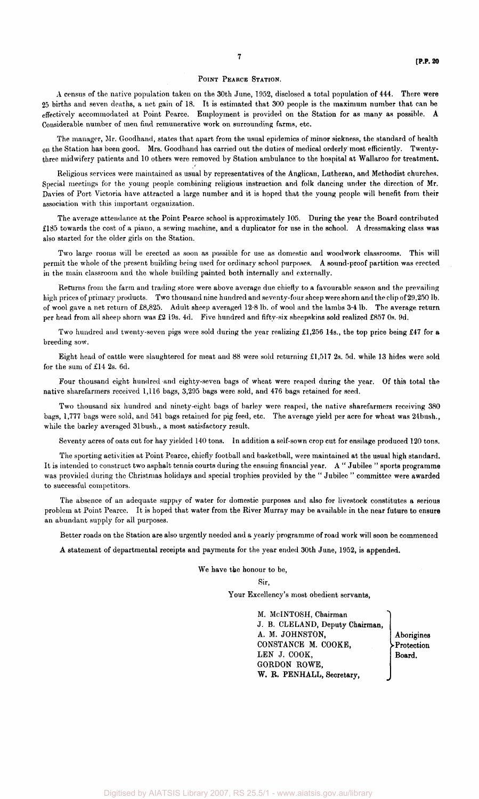#### POINT PEARCE STATION.

A census of the native population taken on the 30th June, 1952, disclosed a total population of 444. There were 25 births and seven deaths, a net gain of 18. It is estimated that 300 people is the maximum number that can be effectively accommodated at Point Pearce. Employment is provided on the Station for as many as possible. A Considerable number of men find remunerative work on surrounding farms, etc.

The manager, Mr. Goodhand, states that apart from the usual epidemics of minor sickness, the standard of health on the Station has been good. Mrs. Goodhand has carried out the duties of medical orderly most efficiently. Twentythree midwifery patients and 10 others were removed by Station ambulance to the hospital at Wallaroo for treatment.

Religious services were maintained as usual by representatives of the Anglican, Lutheran, and Methodist churches. Special meetings for the young people combining religious instruction and folk dancing under the direction of Mr. Davies of Port Victoria have attracted a large number and it is hoped that the young people will benefit from their association with this important organization.

The average attendance at the Point Pearce school is approximately 105. During the year the Board contributed £185 towards the cost of a piano, a sewing machine, and a duplicator for use in the school. A dressmaking class was also started for the older girls on the Station.

Two large rooms will be erected as soon as possible for use as domestic and woodwork classrooms. This will permit the whole of the present building being used for ordinary school purposes. A sound-proof partition was erected in the main classroom and the whole building painted both internally and externally.

Returns from the farm and trading store were above average due chiefly to a favourable season and the prevailing high prices of primary products. Two thousand nine hundred and seventy-four sheep were shorn and the clip of 29,250 lb. of wool gave a net return of £8,825. Adult sheep averaged 12-8 lb. of wool and the lambs 3-4 lb. The average return per head from all sheep shorn was £2 19s. 4d. Five hundred and fifty-six sheepskins sold realized £857 0s. 9d.

Two hundred and twenty-seven pigs were sold during the year realizing £1,256 14s., the top price being £47 for **a**  breeding sow.

Eight head of cattle were slaughtered for meat and 88 were sold returning £1,517 2s. 5d. while 13 hides were sold for the sum of £14 2s. 6d.

Four thousand eight hundred and eighty-seven bags of wheat were reaped during the year. Of this total the native sharefarmers received 1,116 bags, 3,295 bags were sold, and 476 bags retained for seed.

Two thousand six hundred and ninety-eight bags of barley were reaped, the native sharefarmers receiving 380 bags, 1,777 bags were sold, and 541 bags retained for pig feed, etc. The average yield per acre for wheat was 24bush., while the barley averaged 31 bush., a most satisfactory result.

Seventy acres of oats cut for hay yielded 140 tons. In addition a self-sown crop cut for ensilage produced 120 tons.

The sporting activities at Point Pearce, chiefly football and basketball, were maintained at the usual high standard. It is intended to construct two asphalt tennis courts during the ensuing financial year. A " Jubilee " sports programme was provided during the Christmas holidays and special trophies provided by the " Jubilee " committee were awarded to successful competitors.

The absence of an adequate supply of water for domestic purposes and also for livestock constitutes a serious problem at Point Pearce. It is hoped that water from the River Murray may be available in the near future to ensure an abundant supply for all purposes.

Better roads on the Station are also urgently needed and a yearly programme of road work will soon be commenced

A statement of departmental receipts and payments for the year ended 30th June, 1952, is appended.

We have the honour to be,

Sir,

Your Excellency's most obedient servants,

M. McINTOSH, Chairman J. B. CLELAND, Deputy Chairman, A. M. JOHNSTON, CONSTANCE M. COOKE, LEN J. COOK, GORDON ROWE, **W. R. PENHALL,** Secretary,

Aborigines •Protection **Board.**